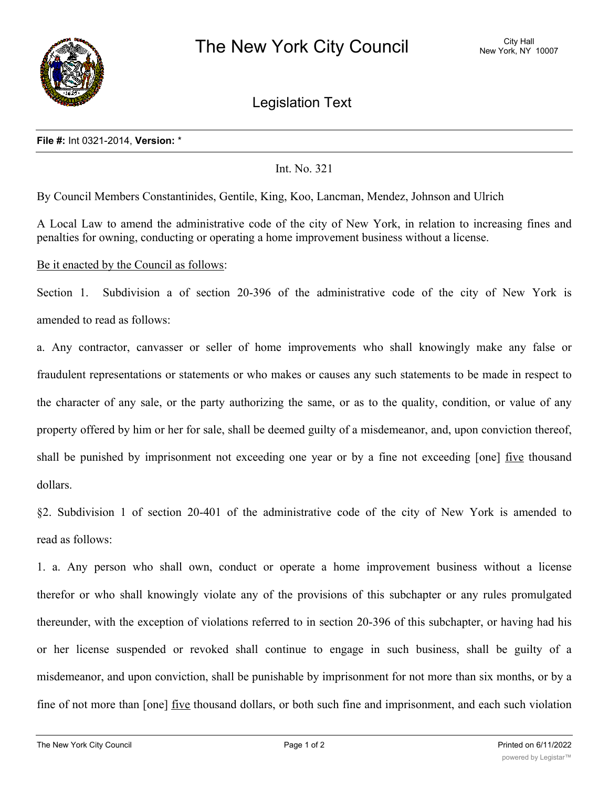

Legislation Text

## **File #:** Int 0321-2014, **Version:** \*

## Int. No. 321

By Council Members Constantinides, Gentile, King, Koo, Lancman, Mendez, Johnson and Ulrich

A Local Law to amend the administrative code of the city of New York, in relation to increasing fines and penalties for owning, conducting or operating a home improvement business without a license.

Be it enacted by the Council as follows:

Section 1. Subdivision a of section 20-396 of the administrative code of the city of New York is amended to read as follows:

a. Any contractor, canvasser or seller of home improvements who shall knowingly make any false or fraudulent representations or statements or who makes or causes any such statements to be made in respect to the character of any sale, or the party authorizing the same, or as to the quality, condition, or value of any property offered by him or her for sale, shall be deemed guilty of a misdemeanor, and, upon conviction thereof, shall be punished by imprisonment not exceeding one year or by a fine not exceeding [one] five thousand dollars.

§2. Subdivision 1 of section 20-401 of the administrative code of the city of New York is amended to read as follows:

1. a. Any person who shall own, conduct or operate a home improvement business without a license therefor or who shall knowingly violate any of the provisions of this subchapter or any rules promulgated thereunder, with the exception of violations referred to in section 20-396 of this subchapter, or having had his or her license suspended or revoked shall continue to engage in such business, shall be guilty of a misdemeanor, and upon conviction, shall be punishable by imprisonment for not more than six months, or by a fine of not more than [one] <u>five</u> thousand dollars, or both such fine and imprisonment, and each such violation